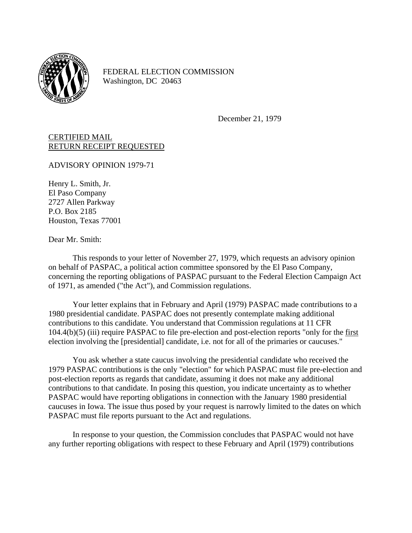

FEDERAL ELECTION COMMISSION Washington, DC 20463

December 21, 1979

## CERTIFIED MAIL RETURN RECEIPT REQUESTED

ADVISORY OPINION 1979-71

Henry L. Smith, Jr. El Paso Company 2727 Allen Parkway P.O. Box 2185 Houston, Texas 77001

Dear Mr. Smith:

This responds to your letter of November 27, 1979, which requests an advisory opinion on behalf of PASPAC, a political action committee sponsored by the El Paso Company, concerning the reporting obligations of PASPAC pursuant to the Federal Election Campaign Act of 1971, as amended ("the Act"), and Commission regulations.

Your letter explains that in February and April (1979) PASPAC made contributions to a 1980 presidential candidate. PASPAC does not presently contemplate making additional contributions to this candidate. You understand that Commission regulations at 11 CFR 104.4(b)(5) (iii) require PASPAC to file pre-election and post-election reports "only for the first election involving the [presidential] candidate, i.e. not for all of the primaries or caucuses."

You ask whether a state caucus involving the presidential candidate who received the 1979 PASPAC contributions is the only "election" for which PASPAC must file pre-election and post-election reports as regards that candidate, assuming it does not make any additional contributions to that candidate. In posing this question, you indicate uncertainty as to whether PASPAC would have reporting obligations in connection with the January 1980 presidential caucuses in Iowa. The issue thus posed by your request is narrowly limited to the dates on which PASPAC must file reports pursuant to the Act and regulations.

In response to your question, the Commission concludes that PASPAC would not have any further reporting obligations with respect to these February and April (1979) contributions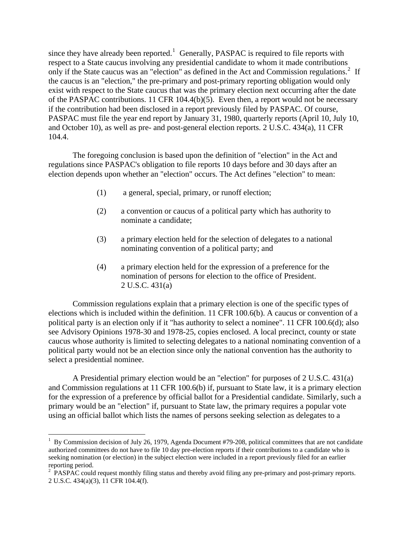since they have already been reported.<sup>[1](#page-1-0)</sup> Generally, PASPAC is required to file reports with respect to a State caucus involving any presidential candidate to whom it made contributions only if the State caucus was an "election" as defined in the Act and Commission regulations.<sup>[2](#page-1-1)</sup> If the caucus is an "election," the pre-primary and post-primary reporting obligation would only exist with respect to the State caucus that was the primary election next occurring after the date of the PASPAC contributions. 11 CFR 104.4(b)(5). Even then, a report would not be necessary if the contribution had been disclosed in a report previously filed by PASPAC. Of course, PASPAC must file the year end report by January 31, 1980, quarterly reports (April 10, July 10, and October 10), as well as pre- and post-general election reports. 2 U.S.C. 434(a), 11 CFR 104.4.

The foregoing conclusion is based upon the definition of "election" in the Act and regulations since PASPAC's obligation to file reports 10 days before and 30 days after an election depends upon whether an "election" occurs. The Act defines "election" to mean:

- (1) a general, special, primary, or runoff election;
- (2) a convention or caucus of a political party which has authority to nominate a candidate;
- (3) a primary election held for the selection of delegates to a national nominating convention of a political party; and
- (4) a primary election held for the expression of a preference for the nomination of persons for election to the office of President. 2 U.S.C. 431(a)

Commission regulations explain that a primary election is one of the specific types of elections which is included within the definition. 11 CFR 100.6(b). A caucus or convention of a political party is an election only if it "has authority to select a nominee". 11 CFR 100.6(d); also see Advisory Opinions 1978-30 and 1978-25, copies enclosed. A local precinct, county or state caucus whose authority is limited to selecting delegates to a national nominating convention of a political party would not be an election since only the national convention has the authority to select a presidential nominee.

A Presidential primary election would be an "election" for purposes of 2 U.S.C. 431(a) and Commission regulations at 11 CFR 100.6(b) if, pursuant to State law, it is a primary election for the expression of a preference by official ballot for a Presidential candidate. Similarly, such a primary would be an "election" if, pursuant to State law, the primary requires a popular vote using an official ballot which lists the names of persons seeking selection as delegates to a

 $\overline{a}$ 

<span id="page-1-0"></span> $1$  By Commission decision of July 26, 1979, Agenda Document #79-208, political committees that are not candidate authorized committees do not have to file 10 day pre-election reports if their contributions to a candidate who is seeking nomination (or election) in the subject election were included in a report previously filed for an earlier reporting period.

<span id="page-1-1"></span><sup>&</sup>lt;sup>2</sup> PASPAC could request monthly filing status and thereby avoid filing any pre-primary and post-primary reports. 2 U.S.C. 434(a)(3), 11 CFR 104.4(f).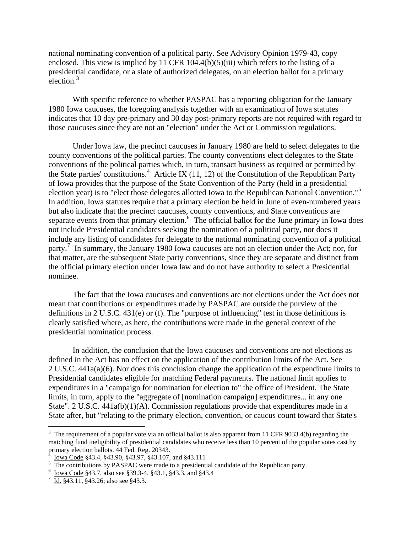national nominating convention of a political party. See Advisory Opinion 1979-43, copy enclosed. This view is implied by 11 CFR 104.4(b)(5)(iii) which refers to the listing of a presidential candidate, or a slate of authorized delegates, on an election ballot for a primary election. $3$ 

With specific reference to whether PASPAC has a reporting obligation for the January 1980 Iowa caucuses, the foregoing analysis together with an examination of Iowa statutes indicates that 10 day pre-primary and 30 day post-primary reports are not required with regard to those caucuses since they are not an "election" under the Act or Commission regulations.

Under Iowa law, the precinct caucuses in January 1980 are held to select delegates to the county conventions of the political parties. The county conventions elect delegates to the State conventions of the political parties which, in turn, transact business as required or permitted by the State parties' constitutions.<sup>[4](#page-2-1)</sup> Article IX (11, 12) of the Constitution of the Republican Party of Iowa provides that the purpose of the State Convention of the Party (held in a presidential election year) is to "elect those delegates allotted Iowa to the Republican National Convention."[5](#page-2-2) In addition, Iowa statutes require that a primary election be held in June of even-numbered years but also indicate that the precinct caucuses, county conventions, and State conventions are separate events from that primary election. $<sup>6</sup>$  $<sup>6</sup>$  $<sup>6</sup>$  The official ballot for the June primary in Iowa does</sup> not include Presidential candidates seeking the nomination of a political party, nor does it include any listing of candidates for delegate to the national nominating convention of a political party.<sup>[7](#page-2-4)</sup> In summary, the January 1980 Iowa caucuses are not an election under the Act; nor, for that matter, are the subsequent State party conventions, since they are separate and distinct from the official primary election under Iowa law and do not have authority to select a Presidential nominee.

The fact that the Iowa caucuses and conventions are not elections under the Act does not mean that contributions or expenditures made by PASPAC are outside the purview of the definitions in 2 U.S.C. 431(e) or (f). The "purpose of influencing" test in those definitions is clearly satisfied where, as here, the contributions were made in the general context of the presidential nomination process.

In addition, the conclusion that the Iowa caucuses and conventions are not elections as defined in the Act has no effect on the application of the contribution limits of the Act. See 2 U.S.C. 441a(a)(6). Nor does this conclusion change the application of the expenditure limits to Presidential candidates eligible for matching Federal payments. The national limit applies to expenditures in a "campaign for nomination for election to" the office of President. The State limits, in turn, apply to the "aggregate of [nomination campaign] expenditures... in any one State". 2 U.S.C. 441a(b)(1)(A). Commission regulations provide that expenditures made in a State after, but "relating to the primary election, convention, or caucus count toward that State's

 $\overline{a}$ 

<span id="page-2-0"></span><sup>&</sup>lt;sup>3</sup> The requirement of a popular vote via an official ballot is also apparent from 11 CFR 9033.4(b) regarding the matching fund ineligibility of presidential candidates who receive less than 10 percent of the popular votes cast by primary election ballots. 44 Fed. Reg. 20343.<br><sup>4</sup> Journ Code 843 4, 843 00, 843 07, 843 107.

<span id="page-2-2"></span><span id="page-2-1"></span>

 $\frac{1}{5}$  Iowa Code §43.4, §43.90, §43.97, §43.107, and §43.111<br>The contributions by PASPAC were made to a presidential candidate of the Republican party.

<span id="page-2-3"></span> $\frac{6}{7}$  <u>Iowa Code</u> §43.7, also see §39.3-4, §43.1, §43.3, and §43.4<br> $\frac{7}{14}$  543.11, \$43.26; also see §43.3

<span id="page-2-4"></span> $\frac{7}{1}$  Id. §43.11, §43.26; also see §43.3.